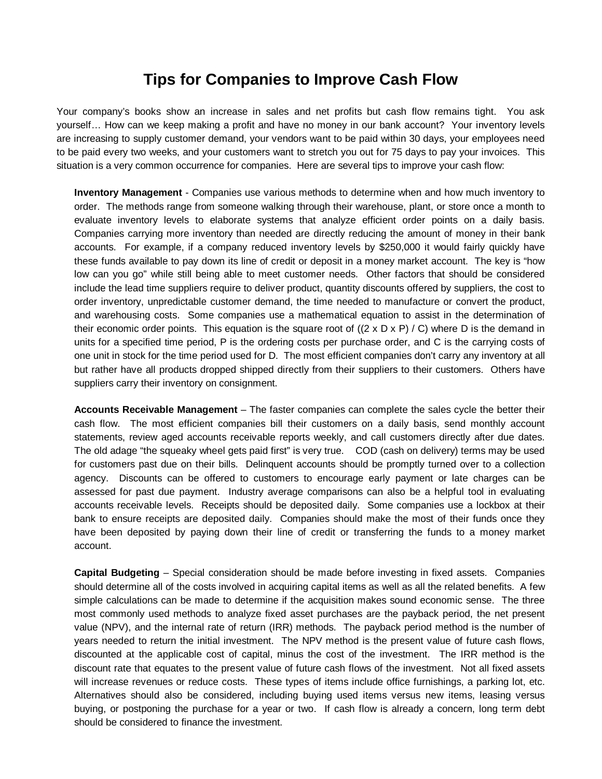## **Tips for Companies to Improve Cash Flow**

Your company's books show an increase in sales and net profits but cash flow remains tight. You ask yourself… How can we keep making a profit and have no money in our bank account? Your inventory levels are increasing to supply customer demand, your vendors want to be paid within 30 days, your employees need to be paid every two weeks, and your customers want to stretch you out for 75 days to pay your invoices. This situation is a very common occurrence for companies. Here are several tips to improve your cash flow:

**Inventory Management** - Companies use various methods to determine when and how much inventory to order. The methods range from someone walking through their warehouse, plant, or store once a month to evaluate inventory levels to elaborate systems that analyze efficient order points on a daily basis. Companies carrying more inventory than needed are directly reducing the amount of money in their bank accounts. For example, if a company reduced inventory levels by \$250,000 it would fairly quickly have these funds available to pay down its line of credit or deposit in a money market account. The key is "how low can you go" while still being able to meet customer needs. Other factors that should be considered include the lead time suppliers require to deliver product, quantity discounts offered by suppliers, the cost to order inventory, unpredictable customer demand, the time needed to manufacture or convert the product, and warehousing costs. Some companies use a mathematical equation to assist in the determination of their economic order points. This equation is the square root of  $((2 \times D \times P) / C)$  where D is the demand in units for a specified time period, P is the ordering costs per purchase order, and C is the carrying costs of one unit in stock for the time period used for D. The most efficient companies don't carry any inventory at all but rather have all products dropped shipped directly from their suppliers to their customers. Others have suppliers carry their inventory on consignment.

**Accounts Receivable Management** – The faster companies can complete the sales cycle the better their cash flow. The most efficient companies bill their customers on a daily basis, send monthly account statements, review aged accounts receivable reports weekly, and call customers directly after due dates. The old adage "the squeaky wheel gets paid first" is very true. COD (cash on delivery) terms may be used for customers past due on their bills. Delinquent accounts should be promptly turned over to a collection agency. Discounts can be offered to customers to encourage early payment or late charges can be assessed for past due payment. Industry average comparisons can also be a helpful tool in evaluating accounts receivable levels. Receipts should be deposited daily. Some companies use a lockbox at their bank to ensure receipts are deposited daily. Companies should make the most of their funds once they have been deposited by paying down their line of credit or transferring the funds to a money market account.

**Capital Budgeting** – Special consideration should be made before investing in fixed assets. Companies should determine all of the costs involved in acquiring capital items as well as all the related benefits. A few simple calculations can be made to determine if the acquisition makes sound economic sense. The three most commonly used methods to analyze fixed asset purchases are the payback period, the net present value (NPV), and the internal rate of return (IRR) methods. The payback period method is the number of years needed to return the initial investment. The NPV method is the present value of future cash flows, discounted at the applicable cost of capital, minus the cost of the investment. The IRR method is the discount rate that equates to the present value of future cash flows of the investment. Not all fixed assets will increase revenues or reduce costs. These types of items include office furnishings, a parking lot, etc. Alternatives should also be considered, including buying used items versus new items, leasing versus buying, or postponing the purchase for a year or two. If cash flow is already a concern, long term debt should be considered to finance the investment.